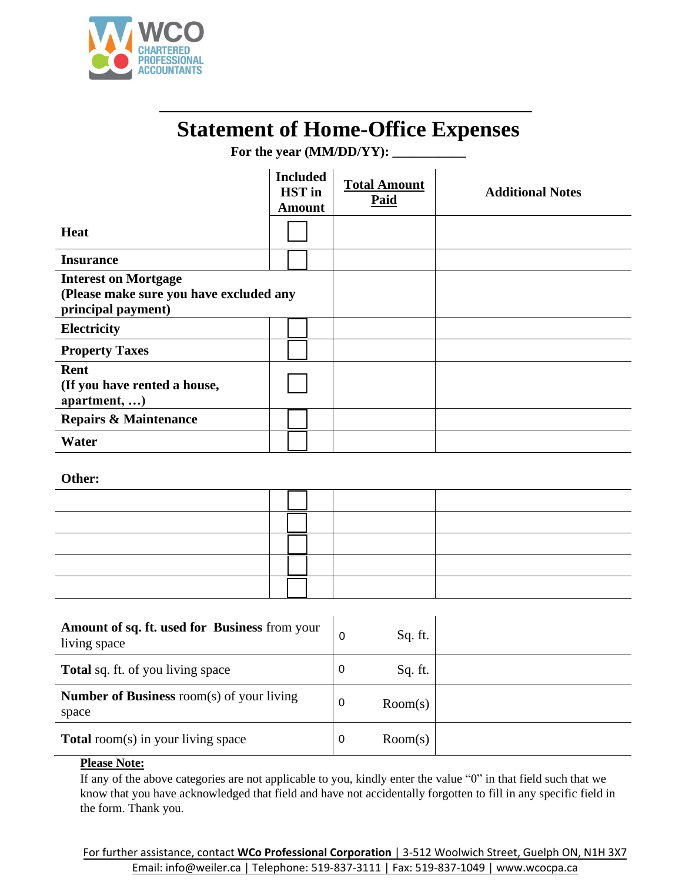

## **Statement of Home-Office Expenses**

.

For the year (MM/DD/YY):

|                                                                                              | <b>Included</b><br><b>HST</b> in<br><b>Amount</b> | <b>Total Amount</b><br>Paid | <b>Additional Notes</b> |
|----------------------------------------------------------------------------------------------|---------------------------------------------------|-----------------------------|-------------------------|
| <b>Heat</b>                                                                                  |                                                   |                             |                         |
| <b>Insurance</b>                                                                             |                                                   |                             |                         |
| <b>Interest on Mortgage</b><br>(Please make sure you have excluded any<br>principal payment) |                                                   |                             |                         |
| Electricity                                                                                  |                                                   |                             |                         |
| <b>Property Taxes</b>                                                                        |                                                   |                             |                         |
| Rent<br>(If you have rented a house,<br>apartment,                                           |                                                   |                             |                         |
| <b>Repairs &amp; Maintenance</b>                                                             |                                                   |                             |                         |
| Water                                                                                        |                                                   |                             |                         |

## **Other:**

| Amount of sq. ft. used for Business from your<br>living space | 0 | Sq. ft. |  |
|---------------------------------------------------------------|---|---------|--|
| <b>Total</b> sq. ft. of you living space                      | 0 | Sq. ft. |  |
| <b>Number of Business</b> room(s) of your living<br>space     | 0 | Room(s) |  |
| <b>Total</b> room(s) in your living space                     | 0 | Room(s) |  |

## **Please Note:**

If any of the above categories are not applicable to you, kindly enter the value "0" in that field such that we know that you have acknowledged that field and have not accidentally forgotten to fill in any specific field in the form. Thank you. external in your living space<br> **EMAIL:** info@weidesare not applicable to you, kindly enter the value "0" in that field such the<br>
you have acknowledged that field and have not accidentally forgotten to fill in any specific<br>

For further assistance, contact **WCo Professional Corporation** | 3-512 Woolwich Street, Guelph ON, N1H 3X7